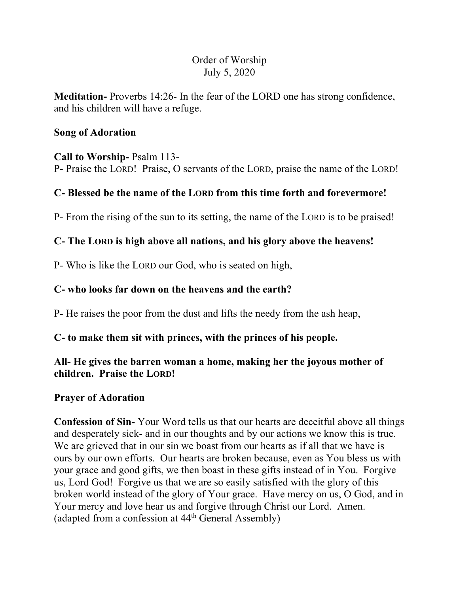# Order of Worship July 5, 2020

**Meditation-** Proverbs 14:26- In the fear of the LORD one has strong confidence, and his children will have a refuge.

#### **Song of Adoration**

#### **Call to Worship-** Psalm 113-

P- Praise the LORD! Praise, O servants of the LORD, praise the name of the LORD!

## **C- Blessed be the name of the LORD from this time forth and forevermore!**

P- From the rising of the sun to its setting, the name of the LORD is to be praised!

### **C- The LORD is high above all nations, and his glory above the heavens!**

P- Who is like the LORD our God, who is seated on high,

### **C- who looks far down on the heavens and the earth?**

P- He raises the poor from the dust and lifts the needy from the ash heap,

### **C- to make them sit with princes, with the princes of his people.**

## **All- He gives the barren woman a home, making her the joyous mother of children. Praise the LORD!**

### **Prayer of Adoration**

**Confession of Sin-** Your Word tells us that our hearts are deceitful above all things and desperately sick- and in our thoughts and by our actions we know this is true. We are grieved that in our sin we boast from our hearts as if all that we have is ours by our own efforts. Our hearts are broken because, even as You bless us with your grace and good gifts, we then boast in these gifts instead of in You. Forgive us, Lord God! Forgive us that we are so easily satisfied with the glory of this broken world instead of the glory of Your grace. Have mercy on us, O God, and in Your mercy and love hear us and forgive through Christ our Lord. Amen. (adapted from a confession at 44th General Assembly)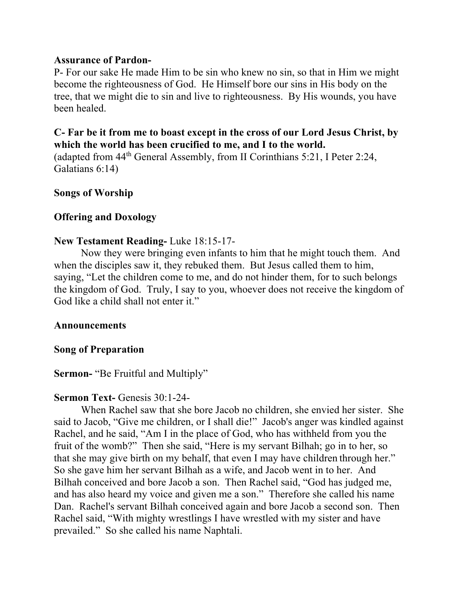#### **Assurance of Pardon-**

P- For our sake He made Him to be sin who knew no sin, so that in Him we might become the righteousness of God. He Himself bore our sins in His body on the tree, that we might die to sin and live to righteousness. By His wounds, you have been healed.

## **C- Far be it from me to boast except in the cross of our Lord Jesus Christ, by which the world has been crucified to me, and I to the world.**

(adapted from 44th General Assembly, from II Corinthians 5:21, I Peter 2:24, Galatians 6:14)

### **Songs of Worship**

## **Offering and Doxology**

### **New Testament Reading-** Luke 18:15-17-

Now they were bringing even infants to him that he might touch them. And when the disciples saw it, they rebuked them. But Jesus called them to him, saying, "Let the children come to me, and do not hinder them, for to such belongs the kingdom of God. Truly, I say to you, whoever does not receive the kingdom of God like a child shall not enter it."

### **Announcements**

### **Song of Preparation**

# **Sermon-** "Be Fruitful and Multiply"

### **Sermon Text-** Genesis 30:1-24-

When Rachel saw that she bore Jacob no children, she envied her sister. She said to Jacob, "Give me children, or I shall die!" Jacob's anger was kindled against Rachel, and he said, "Am I in the place of God, who has withheld from you the fruit of the womb?" Then she said, "Here is my servant Bilhah; go in to her, so that she may give birth on my behalf, that even I may have children through her." So she gave him her servant Bilhah as a wife, and Jacob went in to her. And Bilhah conceived and bore Jacob a son. Then Rachel said, "God has judged me, and has also heard my voice and given me a son." Therefore she called his name Dan. Rachel's servant Bilhah conceived again and bore Jacob a second son. Then Rachel said, "With mighty wrestlings I have wrestled with my sister and have prevailed." So she called his name Naphtali.